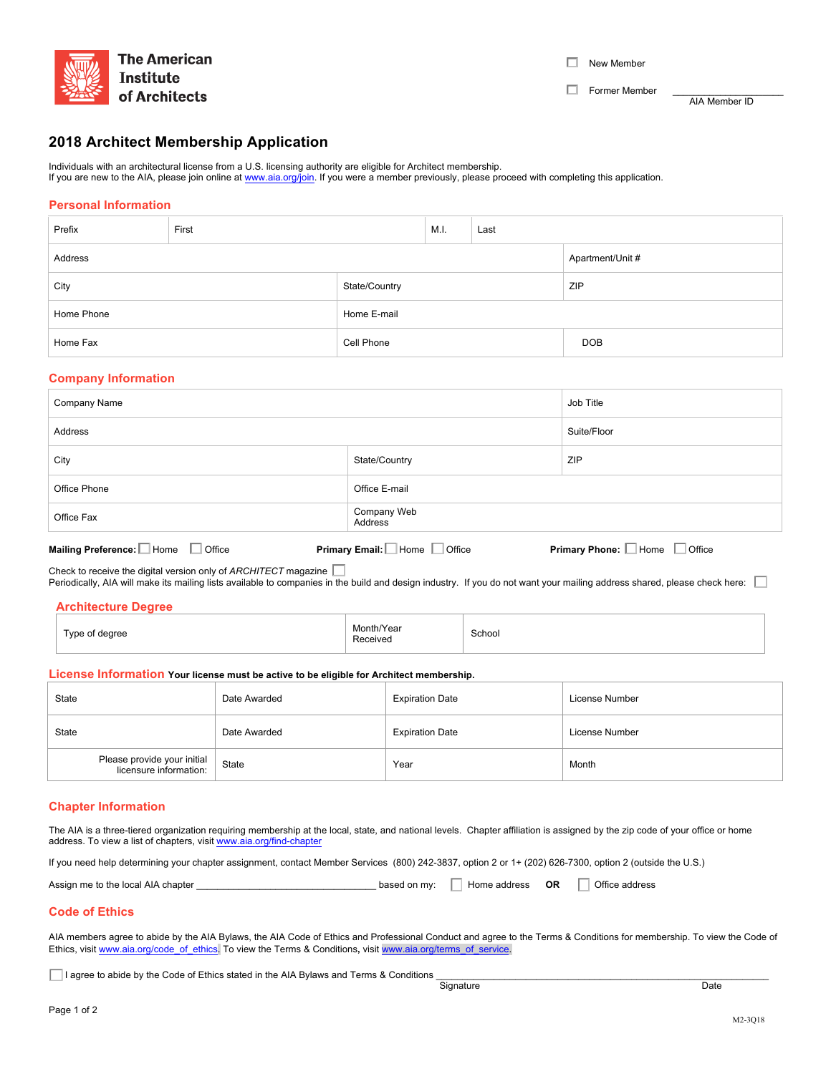

 $\Box$  New Member

**Commer Member COMPONE CONTROLLER THE EXAMPLE PROPERTIES AND RESPONDENT AT A PAIR MEMBER ID** 

# **2018 Architect Membership Application**

Individuals with an architectural license from a U.S. licensing authority are eligible for Architect membership. If you are new to the AIA, please join online at www.aia.org/join. If you were a member previously, please proceed with completing this application.

# **Personal Information**

| Prefix                      | First                       |             | M.I. | Last |            |
|-----------------------------|-----------------------------|-------------|------|------|------------|
| Apartment/Unit #<br>Address |                             |             |      |      |            |
| City                        | State/Country<br><b>ZIP</b> |             |      |      |            |
| Home Phone                  |                             | Home E-mail |      |      |            |
| Home Fax                    |                             | Cell Phone  |      |      | <b>DOB</b> |

## **Company Information**

| Company Name | Job Title              |             |
|--------------|------------------------|-------------|
| Address      |                        | Suite/Floor |
| City         | State/Country          | ZIP         |
| Office Phone | Office E-mail          |             |
| Office Fax   | Company Web<br>Address |             |
|              |                        |             |

| Mailing Preference: Lettome Langle                                                                                                                                                                                                                       | <b>Primary Email:</b> Home L | $\Box$ Home | Office |
|----------------------------------------------------------------------------------------------------------------------------------------------------------------------------------------------------------------------------------------------------------|------------------------------|-------------|--------|
| Office                                                                                                                                                                                                                                                   | Office                       |             |        |
| Check to receive the digital version only of $ARCHITECT$ magazine $\perp$<br>Periodically, AIA will make its mailing lists available to companies in the build and design industry. If you do not want your mailing address shared, please check here: [ |                              |             |        |

| Type of degree | Month/Year<br>.<br>Received | School |  |  |  |
|----------------|-----------------------------|--------|--|--|--|

### **License Information Your license must be active to be eligible for Architect membership.**

| State                                                 | Date Awarded | <b>Expiration Date</b> | License Number |
|-------------------------------------------------------|--------------|------------------------|----------------|
| State                                                 | Date Awarded | <b>Expiration Date</b> | License Number |
| Please provide your initial<br>licensure information: | State        | Year                   | Month          |

# **Chapter Information**

The AIA is a three-tiered organization requiring membership at the local, state, and national levels. Chapter affiliation is assigned by the zip code of your office or home address. To view a list of chapters, visit www.aia.org/find-chapter

If you need help determining your chapter assignment, contact Member Services (800) 242-3837, option 2 or 1+ (202) 626-7300, option 2 (outside the U.S.)

| Assign me to the local AIA chapter | based on my: | Home address | ΟR | Office address |
|------------------------------------|--------------|--------------|----|----------------|
|------------------------------------|--------------|--------------|----|----------------|

### **Code of Ethics**

AIA members agree to abide by the AIA Bylaws, the AIA Code of Ethics and Professional Conduct and agree to the Terms & Conditions for membership. To view the Code of Ethics, visit www.aia.org/code\_of\_ethics. To view the Terms & Conditions, visit www.aia.org/terms\_of\_service.

I agree to abide by the Code of Ethics stated in the AIA Bylaws and Terms & Conditions \_\_\_\_\_\_\_\_\_\_\_\_\_\_\_\_\_\_\_\_\_\_\_\_\_\_\_\_\_\_\_\_\_\_\_\_\_\_\_\_\_\_\_\_\_\_\_\_\_\_\_\_\_\_\_\_\_\_\_\_\_\_\_ Signature Date